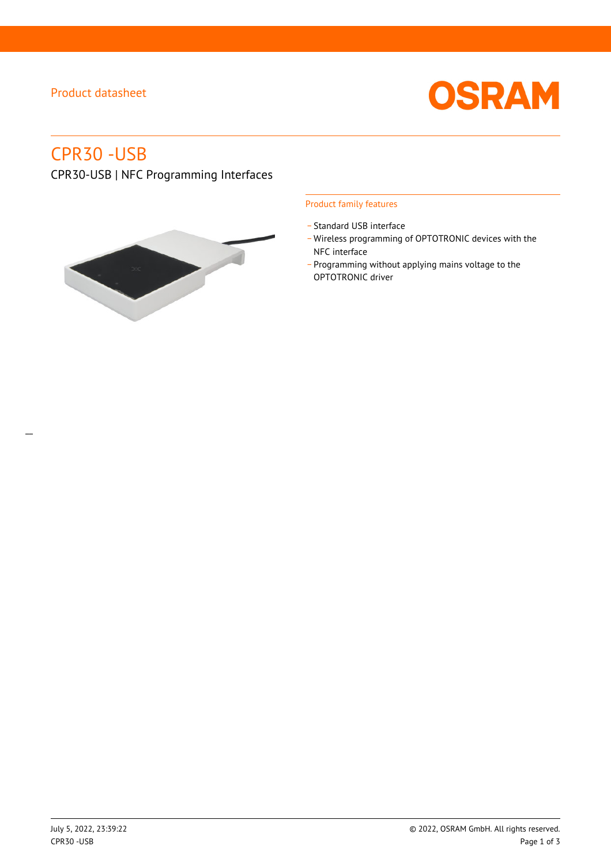# Product datasheet



# CPR30 -USB

CPR30-USB | NFC Programming Interfaces



## Product family features

- Standard USB interface
- \_ Wireless programming of OPTOTRONIC devices with the NFC interface
- \_ Programming without applying mains voltage to the OPTOTRONIC driver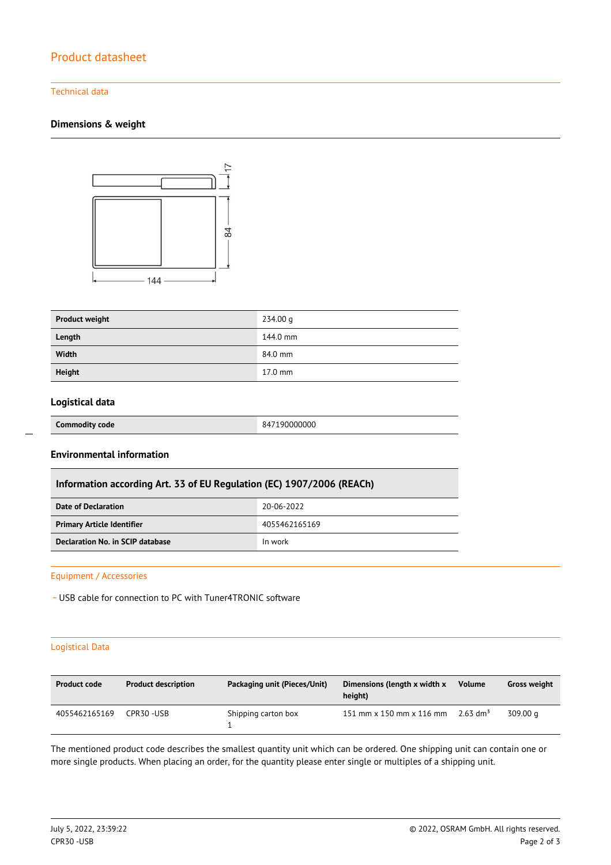# Product datasheet

## Technical data

## **Dimensions & weight**



| <b>Product weight</b> | 234.00 g  |
|-----------------------|-----------|
| Length                | 144.0 mm  |
| Width                 | 84.0 mm   |
| <b>Height</b>         | $17.0$ mm |

# **Logistical data**

# **Commodity code** 847190000000

# **Environmental information**

| Information according Art. 33 of EU Regulation (EC) 1907/2006 (REACh) |
|-----------------------------------------------------------------------|
|-----------------------------------------------------------------------|

| Date of Declaration               | 20-06-2022    |
|-----------------------------------|---------------|
| <b>Primary Article Identifier</b> | 4055462165169 |
| Declaration No. in SCIP database  | In work       |

#### Equipment / Accessories

- USB cable for connection to PC with Tuner4TRONIC software

## Logistical Data

| <b>Product code</b> | <b>Product description</b> | Packaging unit (Pieces/Unit) | Dimensions (length x width x<br>height) | Volume                 | Gross weight |
|---------------------|----------------------------|------------------------------|-----------------------------------------|------------------------|--------------|
| 4055462165169       | CPR30-USB                  | Shipping carton box          | 151 mm x 150 mm x 116 mm                | $2.63$ dm <sup>3</sup> | 309.00 g     |

The mentioned product code describes the smallest quantity unit which can be ordered. One shipping unit can contain one or more single products. When placing an order, for the quantity please enter single or multiples of a shipping unit.